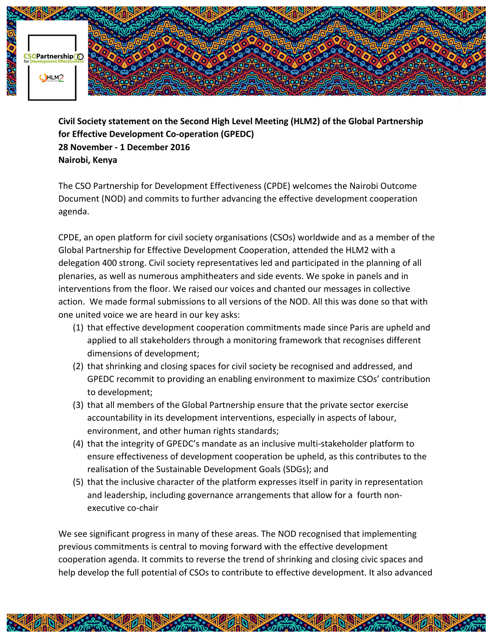

**Civil Society statement on the Second High Level Meeting (HLM2) of the Global Partnership for Effective Development Co-operation (GPEDC) 28 November - 1 December 2016 Nairobi, Kenya**

The CSO Partnership for Development Effectiveness (CPDE) welcomes the Nairobi Outcome Document (NOD) and commits to further advancing the effective development cooperation agenda.

CPDE, an open platform for civil society organisations (CSOs) worldwide and as a member of the Global Partnership for Effective Development Cooperation, attended the HLM2 with a delegation 400 strong. Civil society representatives led and participated in the planning of all plenaries, as well as numerous amphitheaters and side events. We spoke in panels and in interventions from the floor. We raised our voices and chanted our messages in collective action. We made formal submissions to all versions of the NOD. All this was done so that with one united voice we are heard in our key asks:

- (1) that effective development cooperation commitments made since Paris are upheld and applied to all stakeholders through a monitoring framework that recognises different dimensions of development;
- (2) that shrinking and closing spaces for civil society be recognised and addressed, and GPEDC recommit to providing an enabling environment to maximize CSOs' contribution to development;
- (3) that all members of the Global Partnership ensure that the private sector exercise accountability in its development interventions, especially in aspects of labour, environment, and other human rights standards;
- (4) that the integrity of GPEDC's mandate as an inclusive multi-stakeholder platform to ensure effectiveness of development cooperation be upheld, as this contributes to the realisation of the Sustainable Development Goals (SDGs); and
- (5) that the inclusive character of the platform expresses itself in parity in representation and leadership, including governance arrangements that allow for a fourth nonexecutive co-chair

We see significant progress in many of these areas. The NOD recognised that implementing previous commitments is central to moving forward with the effective development cooperation agenda. It commits to reverse the trend of shrinking and closing civic spaces and help develop the full potential of CSOs to contribute to effective development. It also advanced

**SHARE OF DEALER** 

**SEARCH OF DISPERS** 

**EL DUGR** 

**READERS** 

**READ READY**